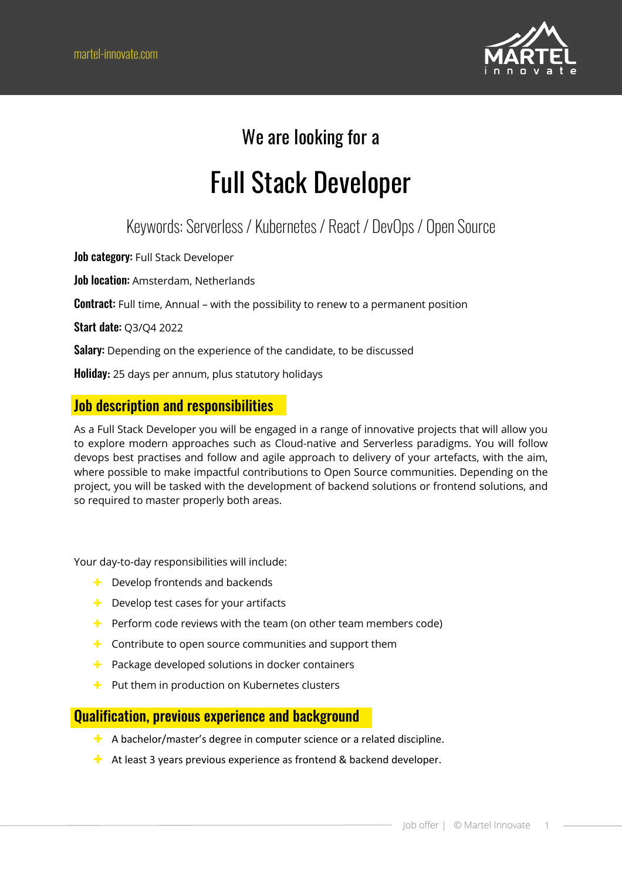

### We are looking for a

# Full Stack Developer

### Keywords: Serverless / Kubernetes / React / DevOps / Open Source

Job category: Full Stack Developer

Job location: Amsterdam, Netherlands

**Contract:** Full time, Annual – with the possibility to renew to a permanent position

Start date: Q3/Q4 2022

Salary: Depending on the experience of the candidate, to be discussed

Holiday**:** 25 days per annum, plus statutory holidays

#### Job description and responsibilities

As a Full Stack Developer you will be engaged in a range of innovative projects that will allow you to explore modern approaches such as Cloud-native and Serverless paradigms. You will follow devops best practises and follow and agile approach to delivery of your artefacts, with the aim, where possible to make impactful contributions to Open Source communities. Depending on the project, you will be tasked with the development of backend solutions or frontend solutions, and so required to master properly both areas.

Your day-to-day responsibilities will include:

- $\div$  Develop frontends and backends
- $\div$  Develop test cases for your artifacts
- $\pm$  Perform code reviews with the team (on other team members code)
- $\pm$  Contribute to open source communities and support them
- $\blacktriangleright$  Package developed solutions in docker containers
- $\pm$  Put them in production on Kubernetes clusters

#### Qualification, previous experience and background

- $\pm$  A bachelor/master's degree in computer science or a related discipline.
- $\pm$  At least 3 years previous experience as frontend & backend developer.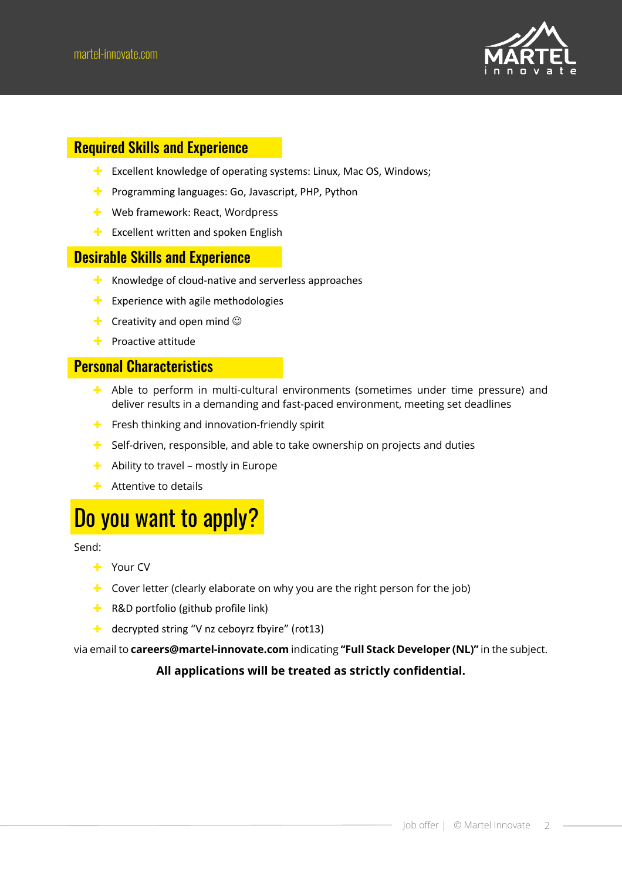

#### Required Skills and Experience

- $\pm$  Excellent knowledge of operating systems: Linux, Mac OS, Windows;
- $\blacktriangleright$  Programming languages: Go, Javascript, PHP, Python
- $\div$  Web framework: React, Wordpress
- $\blacksquare$  Excellent written and spoken English

#### Desirable Skills and Experience

- $\pm$  Knowledge of cloud-native and serverless approaches
- $\blacksquare$  Experience with agile methodologies
- **E** Creativity and open mind  $\odot$
- $\pm$  Proactive attitude

#### Personal Characteristics

- $\pm$  Able to perform in multi-cultural environments (sometimes under time pressure) and deliver results in a demanding and fast-paced environment, meeting set deadlines
- $\div$  Fresh thinking and innovation-friendly spirit
- $\pm$  Self-driven, responsible, and able to take ownership on projects and duties
- $\div$  Ability to travel mostly in Europe
- $\div$  Attentive to details

## Do you want to apply?

Send:

- + Your CV
- $\pm$  Cover letter (clearly elaborate on why you are the right person for the job)
- $\pm$  R&D portfolio (github profile link)
- $\pm$  decrypted string "V nz ceboyrz fbyire" (rot13)

via email to **careers@martel-innovate.com** indicating **"Full Stack Developer (NL)"** in the subject.

#### **All applications will be treated as strictly confidential.**